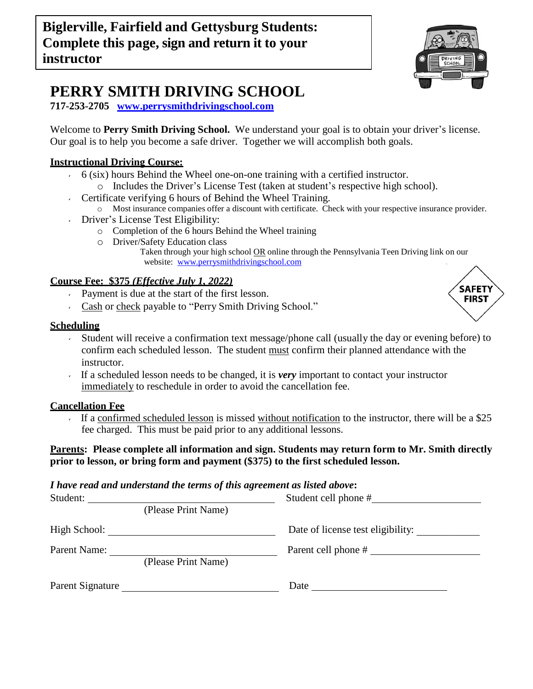

# **PERRY SMITH DRIVING SCHOOL**

**717-253-2705 [www.perrysmithdrivingschool.com](http://www.perrysmithdrivingschool.com/)**

Welcome to **Perry Smith Driving School.** We understand your goal is to obtain your driver's license. Our goal is to help you become a safe driver. Together we will accomplish both goals.

# **Instructional Driving Course:**

- $6$  (six) hours Behind the Wheel one-on-one training with a certified instructor.
	- o Includes the Driver's License Test (taken at student's respective high school).
- Certificate verifying 6 hours of Behind the Wheel Training.
	- o Most insurance companies offer a discount with certificate. Check with your respective insurance provider.
- Driver's License Test Eligibility:
	- o Completion of the 6 hours Behind the Wheel training
	- o Driver/Safety Education class
		- Taken through your high school OR online through the Pennsylvania Teen Driving link on our website: [www.perrysmithdrivingschool.com](http://www.perrysmithdrivingschool.com/)

# **Course Fee: \$375** *(Effective July 1, 2022)*

- Payment is due at the start of the first lesson.
- Cash or check payable to "Perry Smith Driving School."

#### **Scheduling**

- Student will receive a confirmation text message/phone call (usually the day or evening before) to confirm each scheduled lesson. The student must confirm their planned attendance with the instructor.
- If a scheduled lesson needs to be changed, it is *very* important to contact your instructor immediately to reschedule in order to avoid the cancellation fee.

# **Cancellation Fee**

If a confirmed scheduled lesson is missed without notification to the instructor, there will be a \$25 fee charged. This must be paid prior to any additional lessons.

#### **Parents: Please complete all information and sign. Students may return form to Mr. Smith directly prior to lesson, or bring form and payment (\$375) to the first scheduled lesson.**

#### *I have read and understand the terms of this agreement as listed above***:**

| Student:         |                     | Student cell phone #              |
|------------------|---------------------|-----------------------------------|
|                  | (Please Print Name) |                                   |
| High School:     |                     | Date of license test eligibility: |
| Parent Name:     | (Please Print Name) | Parent cell phone #               |
| Parent Signature |                     | Date                              |